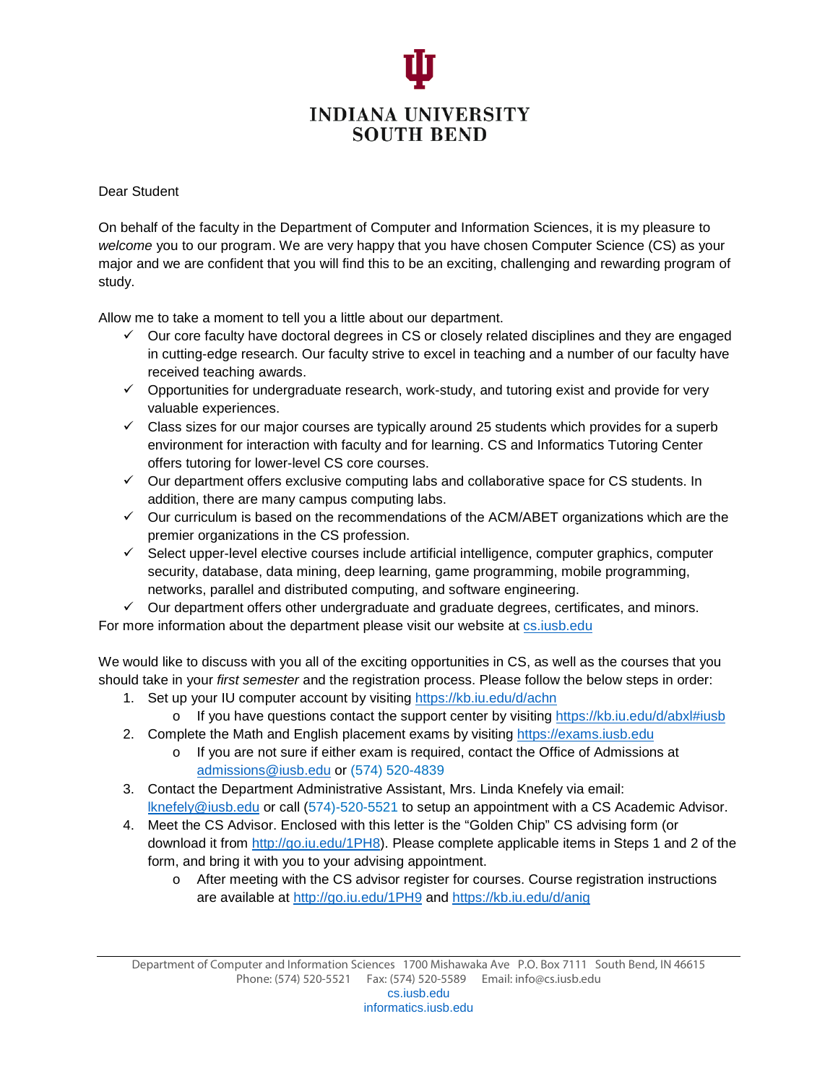

## Dear Student

On behalf of the faculty in the Department of Computer and Information Sciences, it is my pleasure to *welcome* you to our program. We are very happy that you have chosen Computer Science (CS) as your major and we are confident that you will find this to be an exciting, challenging and rewarding program of study.

Allow me to take a moment to tell you a little about our department.

- $\checkmark$  Our core faculty have doctoral degrees in CS or closely related disciplines and they are engaged in cutting-edge research. Our faculty strive to excel in teaching and a number of our faculty have received teaching awards.
- $\checkmark$  Opportunities for undergraduate research, work-study, and tutoring exist and provide for very valuable experiences.
- $\checkmark$  Class sizes for our major courses are typically around 25 students which provides for a superb environment for interaction with faculty and for learning. CS and Informatics Tutoring Center offers tutoring for lower-level CS core courses.
- $\checkmark$  Our department offers exclusive computing labs and collaborative space for CS students. In addition, there are many campus computing labs.
- $\checkmark$  Our curriculum is based on the recommendations of the ACM/ABET organizations which are the premier organizations in the CS profession.
- $\checkmark$  Select upper-level elective courses include artificial intelligence, computer graphics, computer security, database, data mining, deep learning, game programming, mobile programming, networks, parallel and distributed computing, and software engineering.

 $\checkmark$  Our department offers other undergraduate and graduate degrees, certificates, and minors. For more information about the department please visit our website at [cs.iusb.edu](http://cs.iusb.edu/)

We would like to discuss with you all of the exciting opportunities in CS, as well as the courses that you should take in your *first semester* and the registration process. Please follow the below steps in order:

- 1. Set up your IU computer account by visiting <https://kb.iu.edu/d/achn>
- o If you have questions contact the support center by visiting<https://kb.iu.edu/d/abxl#iusb>
- 2. Complete the Math and English placement exams by visiting [https://exams.iusb.edu](https://exams.iusb.edu/)
	- o If you are not sure if either exam is required, contact the Office of Admissions at [admissions@iusb.edu](mailto:admissions@iusb.edu) or (574) 520-4839
- 3. Contact the Department Administrative Assistant, Mrs. Linda Knefely via email: [lknefely@iusb.edu](mailto:lknefely@iusb.edu) or call (574)-520-5521 to setup an appointment with a CS Academic Advisor.
- 4. Meet the CS Advisor. Enclosed with this letter is the "Golden Chip" CS advising form (or download it from [http://go.iu.edu/1PH8\)](http://go.iu.edu/1PH8). Please complete applicable items in Steps 1 and 2 of the form, and bring it with you to your advising appointment.
	- o After meeting with the CS advisor register for courses. Course registration instructions are available at <http://go.iu.edu/1PH9> and<https://kb.iu.edu/d/anig>